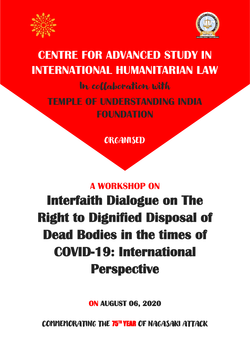



## **CENTRE FOR ADVANCED STUDY IN INTERNATIONAL HUMANITARIAN LAW**

## In collaboration with **TEMPLE OF UNDERSTANDING INDIA FOUNDATION**

**ORGANISED** 

### **A WORKSHOP ON**

# **Interfaith Dialogue on The Right to Dignified Disposal of Dead Bodies in the times of COVID-19: International Perspective**

**ON AUGUST 06, 2020** 

COMMEMORATING THE 75™ YEAR OF NAGASAKI ATTACK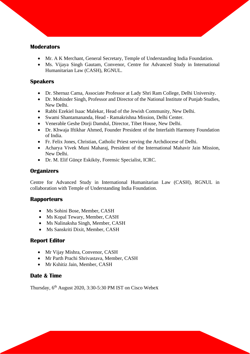#### **Moderators**

• Mr. A K Merchant, General Secretary, Temple of Understanding India Foundation.

• Ms. Vijaya Singh Gautam, Convenor, Centre for Advanced Study in International Humanitarian Law (CASH), RGNUL.

#### **Speakers**

- Dr. Shernaz Cama, Associate Professor at Lady Shri Ram College, Delhi University.
- Dr. Mohinder Singh, Professor and Director of the National Institute of Punjab Studies, New Delhi.
- Rabbi Ezekiel Isaac Malekar, Head of the Jewish Community, New Delhi.
- Swami Shantamananda, Head Ramakrishna Mission, Delhi Center.
- Venerable Geshe Dorji Damdul, Director, Tibet House, New Delhi.
- Dr. Khwaja Iftikhar Ahmed, Founder President of the Interfaith Harmony Foundation of India.
- Fr. Felix Jones, Christian, Catholic Priest serving the Archdiocese of Delhi.
- Acharya Vivek Muni Maharaj, President of the International Mahavir Jain Mission, New Delhi.
- Dr. M. Elif Günçe Eskiköy, Forensic Specialist, ICRC.

#### **Organizers**

Centre for Advanced Study in International Humanitarian Law (CASH), RGNUL in collaboration with Temple of Understanding India Foundation.

#### **Rapporteurs**

- Ms Sohini Bose, Member, CASH
- Ms Kopal Tewary, Member, CASH
- Ms Nalinaksha Singh, Member, CASH
- Ms Sanskriti Dixit, Member, CASH

#### **Report Editor**

- Mr Vijay Mishra, Convenor, CASH
- Mr Parth Prachi Shrivastava, Member, CASH
- Mr Kshitiz Jain, Member, CASH

#### **Date & Time**

Thursday,  $6<sup>th</sup>$  August 2020, 3:30-5:30 PM IST on Cisco Webex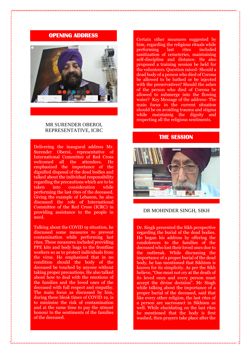#### **OPENING ADDRESS**



#### MR SURENDER OBEROI, REPRESENTATIVE, ICRC

Delivering the inaugural address Mr. Surender Oberoi, representative of International Committee of Red Cross welcomed all the attendees. He emphasized the importance of the dignified disposal of the dead bodies and talked about the individual responsibility regarding the precautions which are to be<br>taken into consideration while taken into consideration performing the last rites of the deceased. Giving the example of Lebanon, he also discussed the role of International Committee of the Red Cross (ICRC) in providing assistance to the people in need.

Talking about the COVID 19 situation, he discussed some measures to prevent contamination while performing last rites. These measures included providing PPE kits and body bags to the frontline workers so as to protect individuals from the virus. He emphasized that in no condition should the body of the deceased be touched by anyone without taking proper precautions. He also talked about how to deal with the emotions of the families and the loved ones of the deceased with full respect and empathy. The main focus as discussed by him. during these bleak times of COVID 19, is to minimise the risk of contamination and at the same time to pay the utmost honour to the sentiments of the families of the deceased.

Certain other measures suggested by him, regarding the religious rituals while performing last rites included sanitization of cemeteries, maintaining self-discipline and distance. He also proposed a training session be held for the volunteers. Question raised- Should a dead body of a person who died of Corona be allowed to be bathed or be injected with the preservatives? Should the ashes of the person who died of Corona be allowed to submerge into the flowing water? Key Message of the address- The main focus in the current situation should be on avoiding trauma and stigma while maintainig the dignity and respecting all the religious sentiments.

#### **THE SESSION**



#### DR MOHINDER SINGH, SIKH

Dr. Singh presented the Sikh perspective regarding the burial of the dead bodies. He began his address by offering the condolences to the families of the deceased who lost their loved ones due to the outbreak. While discussing the importance of a proper burial of the dead body, he has mentioned that Sikhism is known for its simplicity. As per the Sikh believe, "One must not cry at the death of its loved ones and every person must accept the divine decision". Mr Singh while talking about the importance of a proper burial of the deceased, said that like every other religion, the last rites of a person are sacrosanct in Sikhism as well. While elucidating on the last rites he mentioned that the body is first washed, then prayers take place after the

cremation, the ashes are then submerged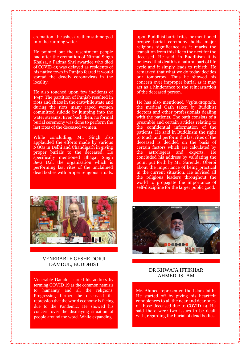cremation, the ashes are then submerged into the running water.

He pointed out the resentment people had after the cremation of Nirmal Singh Khalsa, a Padma Shri awardee who died of COVID-19 was delayed as residents of his native town in Punjab feared it would spread the deadly coronavirus in the locality.

He also touched upon few incidents of 1947. The partition of Punjab resulted in riots and chaos in the erstwhile state and during the riots many raped women committed suicide by jumping into the water streams. Even back then, no formal burial ceremony was done to perform the last rites of the deceased women.

While concluding, Mr. Singh also applauded the efforts made by various NGOs in Delhi and Chandigarh in giving proper burials to the deceased. He specifically mentioned Bhagat Singh Seva Dal, the organisation which is performing last rites of the unclaimed dead bodies with proper religious rituals.



#### VENERABLE GESHE DORJI DAMDUL, BUDDHIST

Venerable Damdul started his address by terming COVID 19 as the common nemisis to humanity and all the religions. Progressing further, he discussed the repression that the world economy is facing due to the Pandemic. He showed his concern over the dismaying situation of people around the word. While expanding

upon Buddhist burial rites, he mentioned proper burial ceremony holds major religious significance as it marks the transition from this life to the next for the deceased. He said, in Buddhism it is believed that death is a natural part of life cycle and it simply leads to rebirth. He remarked that what we do today decides our tomorrow. Thus he showed his concern over improper burial as it may act as a hinderance to the reincarnation of the deceased person.

He has also mentioned *Vejjavatapada,*  the medical Oath taken by Buddhist doctors and other professionals dealing with the patients. The oath consists of a preamble and certain articles relating to the confidential information of the patients. He said in Buddhism the right to touch and perform the last rites of the deceased is decided on the basis of certain factors which are calculated by the astrologers and experts. He concluded his address by validating the point put forth by Mr. Surender Oberoi about the importance of being practical in the current situation. He advised all the religious leaders throughout the world to propagate the importance of self-discipline for the larger public good.



#### DR KHWAJA IFTIKHAR AHMED, ISLAM

Mr. Ahmed represented the Islam faith. He started off by giving his heartfelt condolences to all the near and dear ones of those deceased due to COVID-19. He said there were two issues to be dealt with, regarding the burial of dead bodies.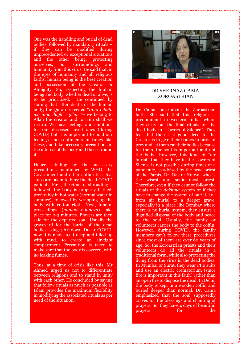One was the handling and burial of dead bodies, followed by mandatory rituals – if they can be modified during unprecedented or exceptional situations and the other being, protecting ourselves, our surroundings and humanity from this virus. He said that, in the eyes of humanity and all religious faiths, human being is the best creation and possession of the Creator or Almighty. So, respecting the human being and body, whether dead or alive, is to be prioritised. He continued by stating that after death of the human body, the Quran is recited "*Inna Lillahi wa inna ilayhi raji'un "*– we belong to Allah the creator and to Him shall we return. We have feelings and emotions for our deceased loved ones (during COVID) but it is important to hold our feelings and sentiments in times like these, and take necessary precautions in the interest of the body and those around it.

Hence, abiding by the necessary precautions mentioned by WHO, the Government and other authorities, five steps are taken to bury the dead COVID patients. First, the ritual of shrouding is followed: the body is properly bathed, preferably in hot water (normal water in summer), followed by wrapping up the body with cotton cloth. Next, funeral proceedings (*namaaz-e-janaza*) take place for 2-3 minutes. Prayers are then said for the departed soul. Usually the graveyard for the burial of the dead bodies is dug 4-6 ft down. Due to COVID, now it is made 10 ft deep and filled up with mud, to create an air-tight compartment. Precaution is taken to make sure that the body is covered, with no leaking fumes.

Thus, at a time of crisis like this, Mr Ahmed urged us not to differentiate between religions and to stand in unity with each other. He concluded by saying that follow rituals as much as possible as Islam provides the maximum flexibility in modifying the associated rituals as per need of the situation.



#### DR SHERNAZ CAMA, ZOROASTRIAN

Dr. Cama spoke about the Zoroastrian faith. She said that this religion is predominant in western India, where they carry out the final rituals for the dead body in "Towers of Silence". They feel that their last good deed to the Creator is to give their bodies to birds of prey and let them eat their bodies because for them, the soul is important and not the body. However, this kind of "air burial" that they have in the Towers of Silence is not possible during times of a pandemic, as advised by the head priest of the Parsis, Dr. Dastur Kotwal who is the wisest and senior-most priest. Therefore, even if they cannot follow the rituals of the *dakhma* system or if they have to change the system of burial, i.e., from air burial to a deeper grave, especially in a place like Bombay where there is no burial system*,* they ensure a dignified disposal of the body and peace to the soul. Usually, the family or volunteers carries the body to the coffin. However, during COVID, the family members can't follow these procedures since most of them are over 60 years of age. So, the Zoroastrian priests and their volunteers do all the rituals in a traditional form, while also protecting the living from the virus in the dead bodies. In Mumbai or Surat, they wear PPE suits and use an electric crematorium (since fire is important in this faith) rather than an open fire to dispose the dead. In Delhi, the body is kept in a wooden coffin and buried deeper than normal. Dr. Cama emphasized that the soul supposedly craves for the blessings and chanting of prayers. So, they have 4 days of beautiful prayers for the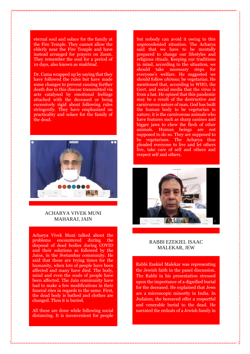eternal soul and solace for the family at the Fire Temple. They cannot allow the elderly near the Fire Temple and have instead arranged for prayers on Zoom. They remember the soul for a period of 10 days, also known as *mukhtad*.

Dr. Cama wrapped up by saying that they have followed the rules but have made some changes to prevent causing further death due to this disease transmitted via acts catalysed by emotional feelings attached with the deceased or being excessively rigid about following rules stringently. They have emphasized on practicality and solace for the family of the dead.



#### ACHARYA VIVEK MUNI MAHARAJ, JAIN

Acharya Vivek Muni talked about the problems encountered during the disposal of dead bodies during COVID and their solutions as followed by the Jains, in the Svetambar community. He said that these are trying times for the humanity, when lots of people have been affected and many have died. The body, mind and even the souls of people have been affected. The Jain community have had to make a few modifications in their funeral rites in regards to the same. First, the dead body is bathed and clothes are changed. Then it is buried.

All these are done while following social distancing. It is inconvenient for people

but nobody can avoid it owing to this unprecedented situation. The Acharya said that we have to be mentally prepared to change our lifestyles and religious rituals. Keeping our traditions in mind, according to the situation, we should take necessary steps for everyone's welfare. He suggested we should follow *ahimsa*; be vegetarian. He mentioned that, according to WHO, the Govt. and social media that the virus is from a bat. He opined that this pandemic may be a result of the destructive and carnivorous nature of man. God has built the human body to be vegetarian in nature; it is the carnivorous animals who have features such as sharp canines and bigger jaws to chew the flesh of other animals. Human beings are not supposed to do so. They are supposed to be vegetarians. The Acharya thus pleaded everyone to live and let others live, take care of self and others and respect self and others.



#### RABBI EZEKIEL ISAAC MALEKAR, JEW

Rabbi Ezekiel Malekar was representing the Jewish faith in the panel discussion. The Rabbi in his presentation stressed upon the importance of a dignified burial for the deceased. He explained that Jews are a microscopic minority in India. In Judaism, the bereaved offer a respectful and venerable burial to the dead. He narrated the ordeals of a Jewish family in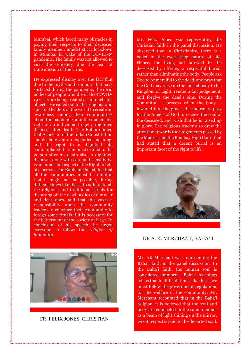Mumbai, which faced many obstacles in paying their respects to their deceased family member, amidst strict lockdown in Mumbai in wake of the COVID-19 pandemic. The family was not allowed to visit the cemetery due the fear of transmission of the virus.

He expressed dismay over the fact that due to the myths and rumours that have surfaced during the pandemic, the dead bodies of people who die of the COVID-19 virus are being treated as untouchable objects. He called out to the religious and spiritual leaders of the world to create an awareness among their communities about the pandemic, and the inalienable right of an individual to get a dignified disposal after death. The Rabbi opined that Article 21 of the Indian Constitution should be given an expanded meaning, and the right to a dignified life contemplated therein must extend to the person after his death also. A dignified disposal, done with care and sensitivity, is an important aspect of the Right to Life of a person. The Rabbi further stated that all the communities must be mindful that it might not be possible, during difficult times like these, to adhere to all the religious and traditional rituals for disposing off the dead bodies of our near and dear ones, and that this casts a responsibility upon the community leaders to convince their community to forego some rituals if it is necessary for the betterment of the society at large. In conclusion of his speech, he urged everyone to follow the *religion of humanity*.



FR. FELIX JONES, CHRISTIAN

Mr. Felix Jones was representing the Christian faith in the panel discussion. He observed that in Christianity, there is a belief in the everlasting nature of life. Hence, the living bid farewell to the deceased by offering a respectful burial, rather than eliminating the body. People ask God to be merciful to the dead, and pray that the God may raise up the mortal body to his Kingdom of Light, render a fair judgement, and forgive the dead's sins. During the Committal, a process when the body is lowered into the grave, the mourners pray for the Angels of God to receive the soul of the deceased, and wish that he is raised up in glory. The religious leader also drew the attention towards the judgements passed by the Madras and the Bombay High Court that had stated that a decent burial is an important facet of the right to life.



#### DR A. K. MERCHANT, BAHA' I

Mr. AK Merchant was representing the Baha'i faith in the panel discussion. In the Baha'i faith, the human soul is considered immortal. Baha'i teachings tell us that in difficult times like these, we must follow the government regulations for the welfare of the community. Mr. Merchant recounted that in the Baha'i religion, it is believed that the soul and body are connected in the same manner as a beam of light shining on the mirror. Great respect is paid to the departed soul.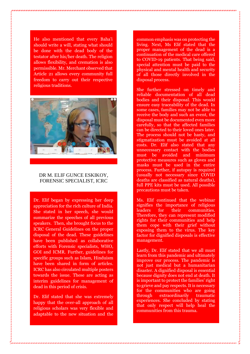He also mentioned that every Baha'i should write a will, stating what should be done with the dead body of the testator after his/her death. The religion allows flexibility, and cremation is also permissible. Mr. Merchant observed that Article 21 allows every community full freedom to carry out their respective religious traditions.



#### DR M. ELIF GUNCE ESKIKOY, FORENSIC SPECIALIST, ICRC

Dr. Elif began by expressing her deep appreciation for the rich culture of India. She stated in her speech, she would summarize the speeches of all previous speakers. Then, she brought focus to the ICRC General Guidelines on the proper disposal of the dead. These guidelines have been published as collaborative efforts with Forensic specialists, WHO, GOI and ICMR. Further, guidelines for specific groups such as Islam, Hinduism have been shared in form of articles. ICRC has also circulated multiple posters towards the issue. These are acting as interim guidelines for management of dead in this period of crisis.

Dr. Elif stated that she was extremely happy that the over-all approach of all religious scholars was very flexible and adaptable to the new situation and the common emphasis was on protecting the living. Next, Ms Elif stated that the proper management of the dead is a continuation of the medical care offered to COVID-19 patients. That being said, special attention must be paid to the physical and mental health and security of all those directly involved in the disposal process.

She further stressed on timely and reliable documentation of all dead bodies and their disposal. This would ensure easy traceability of the dead. In some cases, families may not be able to receive the body and such an event, the disposal must be documented even more carefully, so that the affected families can be directed to their loved ones later. The process should not be hasty, and stigmatization must be avoided at all costs. Dr. Elif also stated that any unnecessary contact with the bodies must be avoided and minimum protective measures such as gloves and masks must be used in the entire process. Further, if autopsy is required (usually not necessary since COVID deaths are classified as natural deaths), full PPE kits must be used. All possible precautions must be taken.

Ms. Elif continued that the webinar signifies the importance of religious leaders for their communities. Therefore, they can represent modified rights for their communities and help them cope with their grief without exposing them to the virus. The key factor for dignified disposals is effective management.

Lastly, Dr. Elif stated that we all must learn from this pandemic and ultimately improve our process. The pandemic is not just medical but a humanitarian disaster. A dignified disposal is essential because dignity does not end at death. It is important to protect the families' right to grieve and pay respects. It is necessary for the communities who are going through extraordinarily traumatic experiences. She concluded by stating that only respect will help heal the communities from this trauma.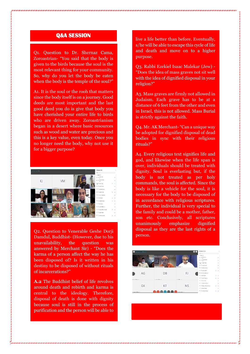#### **Q&A SESSION**

Q1. Question to Dr. Shernaz Cama, Zoroastrian- "You said that the body is given to the birds because the soul is the most relevant thing for your community. So, why do you let the body be eaten when the body is the temple of the soul?"

A1. It is the soul or the rooh that matters since the body itself is on a journey. Good deeds are most important and the last good deed you do is give that body you have cherished your entire life to birds who are driven away. Zoroastrianism began in a desert where basic resources such as wood and water are precious and this is a key value, even today. Once you no longer need the body, why not use it for a bigger purpose?



O2. Ouestion to Venerable Geshe Dorii Damdul, Buddhist- (However, due to his unavailability, the question was answered by Merchant Sir) - "Does the karma of a person affect the way he has been disposed of? Is it written in his destiny to be disposed of without rituals of incarcerations?"

**A.2** The Buddhist belief of life revolves around death and rebirth and karma is central to the ideology. Therefore, disposal of death is done with dignity because soul is still in the process of purification and the person will be able to

live a life better than before. Eventually, s/he will be able to escape this cycle of life and death and move on to a higher purpose.

Q3. Rabbi Ezekiel Isaac Malekar (Jew) - "Does the idea of mass graves not sit well with the idea of dignified disposal in your religion?"

A3. Mass graves are firmly not allowed in Judaism. Each grave has to be at a distance of 6 feet from the other and even in Israel, this is not allowed. Mass Burial is strictly against the faith.

Q4. Mr. AK Merchant- "Can a unique way be adopted for dignified disposal of dead bodies in sync with their religious rituals?"

A4. Every religious text signifies life and god, and likewise when the life span is over, individuals should be treated with dignity. Soul is everlasting but, if the body is not treated as per holy commands, the soul is affected. Since the body is like a vehicle for the soul, it is necessary for the body to be disposed of in accordance with religious scriptures. Further, the individual is very special to the family and could be a mother, father, son etc. Conclusively, all scriptures unanimously emphasize dignified disposal as they are the last rights of a person.